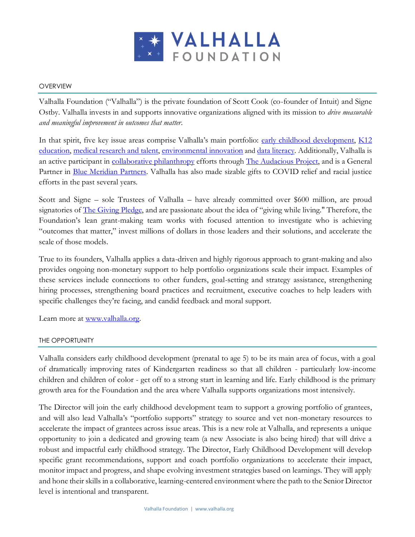

### **OVERVIEW**

Valhalla Foundation ("Valhalla") is the private foundation of Scott Cook (co-founder of Intuit) and Signe Ostby. Valhalla invests in and supports innovative organizations aligned with its mission to *drive measurable and meaningful improvement in outcomes that matter*.

In that spirit, five key issue areas comprise Valhalla's main portfolio: [early childhood development,](https://valhalla.org/early-childhood-development/) K12 [education,](https://valhalla.org/k12-education/) [medical research and talent,](https://valhalla.org/medical-research/) [environmental innovation](https://valhalla.org/environmental-innovation/) and [data literacy.](https://valhalla.org/data-literacy/) Additionally, Valhalla is an active participant in [collaborative philanthropy](https://valhalla.org/collaborative-philanthropy/) efforts through [The Audacious Project,](https://audaciousproject.org/) and is a General Partner in [Blue Meridian Partners.](https://www.bluemeridian.org/) Valhalla has also made sizable gifts to COVID relief and racial justice efforts in the past several years.

Scott and Signe – sole Trustees of Valhalla – have already committed over \$600 million, are proud signatories of <u>The Giving Pledge</u>, and are passionate about the idea of "giving while living." Therefore, the Foundation's lean grant-making team works with focused attention to investigate who is achieving "outcomes that matter," invest millions of dollars in those leaders and their solutions, and accelerate the scale of those models.

True to its founders, Valhalla applies a data-driven and highly rigorous approach to grant-making and also provides ongoing non-monetary support to help portfolio organizations scale their impact. Examples of these services include connections to other funders, goal-setting and strategy assistance, strengthening hiring processes, strengthening board practices and recruitment, executive coaches to help leaders with specific challenges they're facing, and candid feedback and moral support.

Learn more at [www.valhalla.org.](http://www.valhalla.org/)

#### THE OPPORTUNITY

Valhalla considers early childhood development (prenatal to age 5) to be its main area of focus, with a goal of dramatically improving rates of Kindergarten readiness so that all children - particularly low-income children and children of color - get off to a strong start in learning and life. Early childhood is the primary growth area for the Foundation and the area where Valhalla supports organizations most intensively.

The Director will join the early childhood development team to support a growing portfolio of grantees, and will also lead Valhalla's "portfolio supports" strategy to source and vet non-monetary resources to accelerate the impact of grantees across issue areas. This is a new role at Valhalla, and represents a unique opportunity to join a dedicated and growing team (a new Associate is also being hired) that will drive a robust and impactful early childhood strategy. The Director, Early Childhood Development will develop specific grant recommendations, support and coach portfolio organizations to accelerate their impact, monitor impact and progress, and shape evolving investment strategies based on learnings. They will apply and hone their skills in a collaborative, learning-centered environment where the path to the Senior Director level is intentional and transparent.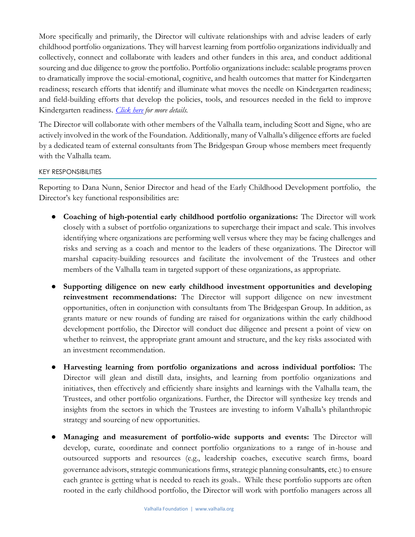More specifically and primarily, the Director will cultivate relationships with and advise leaders of early childhood portfolio organizations. They will harvest learning from portfolio organizations individually and collectively, connect and collaborate with leaders and other funders in this area, and conduct additional sourcing and due diligence to grow the portfolio. Portfolio organizations include: scalable programs proven to dramatically improve the social-emotional, cognitive, and health outcomes that matter for Kindergarten readiness; research efforts that identify and illuminate what moves the needle on Kindergarten readiness; and field-building efforts that develop the policies, tools, and resources needed in the field to improve Kindergarten readiness. *[Click here](https://valhalla.org/early-childhood-development/) for more details.*

The Director will collaborate with other members of the Valhalla team, including Scott and Signe, who are actively involved in the work of the Foundation. Additionally, many of Valhalla's diligence efforts are fueled by a dedicated team of external consultants from The Bridgespan Group whose members meet frequently with the Valhalla team.

KEY RESPONSIBILITIES

Reporting to Dana Nunn, Senior Director and head of the Early Childhood Development portfolio, the Director's key functional responsibilities are:

- **Coaching of high-potential early childhood portfolio organizations:** The Director will work closely with a subset of portfolio organizations to supercharge their impact and scale. This involves identifying where organizations are performing well versus where they may be facing challenges and risks and serving as a coach and mentor to the leaders of these organizations. The Director will marshal capacity-building resources and facilitate the involvement of the Trustees and other members of the Valhalla team in targeted support of these organizations, as appropriate.
- **Supporting diligence on new early childhood investment opportunities and developing reinvestment recommendations:** The Director will support diligence on new investment opportunities, often in conjunction with consultants from The Bridgespan Group. In addition, as grants mature or new rounds of funding are raised for organizations within the early childhood development portfolio, the Director will conduct due diligence and present a point of view on whether to reinvest, the appropriate grant amount and structure, and the key risks associated with an investment recommendation.
- **Harvesting learning from portfolio organizations and across individual portfolios:** The Director will glean and distill data, insights, and learning from portfolio organizations and initiatives, then effectively and efficiently share insights and learnings with the Valhalla team, the Trustees, and other portfolio organizations. Further, the Director will synthesize key trends and insights from the sectors in which the Trustees are investing to inform Valhalla's philanthropic strategy and sourcing of new opportunities.
- **Managing and measurement of portfolio-wide supports and events:** The Director will develop, curate, coordinate and connect portfolio organizations to a range of in-house and outsourced supports and resources (e.g., leadership coaches, executive search firms, board governance advisors, strategic communications firms, strategic planning consultants, etc.) to ensure each grantee is getting what is needed to reach its goals.. While these portfolio supports are often rooted in the early childhood portfolio, the Director will work with portfolio managers across all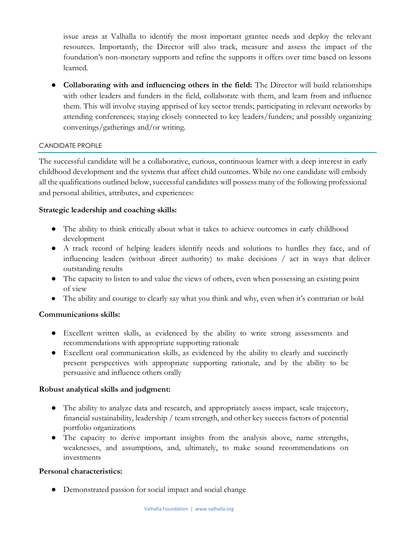issue areas at Valhalla to identify the most important grantee needs and deploy the relevant resources. Importantly, the Director will also track, measure and assess the impact of the foundation's non-monetary supports and refine the supports it offers over time based on lessons learned.

● **Collaborating with and influencing others in the field:** The Director will build relationships with other leaders and funders in the field, collaborate with them, and learn from and influence them. This will involve staying apprised of key sector trends; participating in relevant networks by attending conferences; staying closely connected to key leaders/funders; and possibly organizing convenings/gatherings and/or writing.

# CANDIDATE PROFILE

The successful candidate will be a collaborative, curious, continuous learner with a deep interest in early childhood development and the systems that affect child outcomes. While no one candidate will embody all the qualifications outlined below, successful candidates will possess many of the following professional and personal abilities, attributes, and experiences:

## **Strategic leadership and coaching skills:**

- The ability to think critically about what it takes to achieve outcomes in early childhood development
- A track record of helping leaders identify needs and solutions to hurdles they face, and of influencing leaders (without direct authority) to make decisions / act in ways that deliver outstanding results
- The capacity to listen to and value the views of others, even when possessing an existing point of view
- The ability and courage to clearly say what you think and why, even when it's contrarian or bold

# **Communications skills:**

- Excellent written skills, as evidenced by the ability to write strong assessments and recommendations with appropriate supporting rationale
- Excellent oral communication skills, as evidenced by the ability to clearly and succinctly present perspectives with appropriate supporting rationale, and by the ability to be persuasive and influence others orally

#### **Robust analytical skills and judgment:**

- The ability to analyze data and research, and appropriately assess impact, scale trajectory, financial sustainability, leadership / team strength, and other key success factors of potential portfolio organizations
- The capacity to derive important insights from the analysis above, name strengths, weaknesses, and assumptions, and, ultimately, to make sound recommendations on investments

## **Personal characteristics:**

● Demonstrated passion for social impact and social change